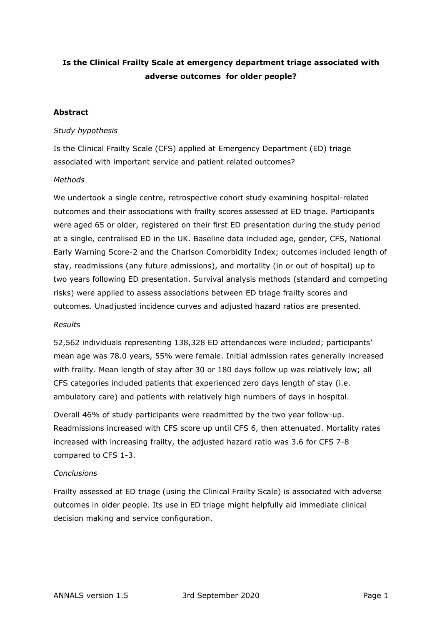## **Is the Clinical Frailty Scale at emergency department triage associated with adverse outcomes for older people?**

## **Abstract**

#### *Study hypothesis*

Is the Clinical Frailty Scale (CFS) applied at Emergency Department (ED) triage associated with important service and patient related outcomes?

### *Methods*

We undertook a single centre, retrospective cohort study examining hospital-related outcomes and their associations with frailty scores assessed at ED triage. Participants were aged 65 or older, registered on their first ED presentation during the study period at a single, centralised ED in the UK. Baseline data included age, gender, CFS, National Early Warning Score-2 and the Charlson Comorbidity Index; outcomes included length of stay, readmissions (any future admissions), and mortality (in or out of hospital) up to two years following ED presentation. Survival analysis methods (standard and competing risks) were applied to assess associations between ED triage frailty scores and outcomes. Unadjusted incidence curves and adjusted hazard ratios are presented.

#### *Results*

52,562 individuals representing 138,328 ED attendances were included; participants' mean age was 78.0 years, 55% were female. Initial admission rates generally increased with frailty. Mean length of stay after 30 or 180 days follow up was relatively low; all CFS categories included patients that experienced zero days length of stay (i.e. ambulatory care) and patients with relatively high numbers of days in hospital.

Overall 46% of study participants were readmitted by the two year follow-up. Readmissions increased with CFS score up until CFS 6, then attenuated. Mortality rates increased with increasing frailty, the adjusted hazard ratio was 3.6 for CFS 7-8 compared to CFS 1-3.

## *Conclusions*

Frailty assessed at ED triage (using the Clinical Frailty Scale) is associated with adverse outcomes in older people. Its use in ED triage might helpfully aid immediate clinical decision making and service configuration.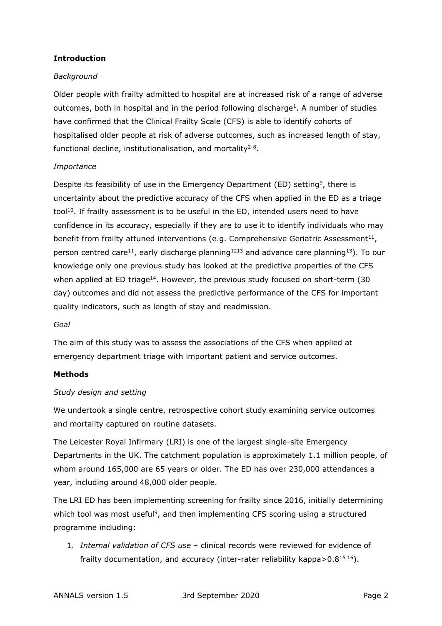## **Introduction**

## *Background*

Older people with frailty admitted to hospital are at increased risk of a range of adverse outcomes, both in hospital and in the period following discharge<sup>1</sup>. A number of studies have confirmed that the Clinical Frailty Scale (CFS) is able to identify cohorts of hospitalised older people at risk of adverse outcomes, such as increased length of stay, functional decline, institutionalisation, and mortality<sup>2-8</sup>.

## *Importance*

Despite its feasibility of use in the Emergency Department (ED) setting<sup>9</sup>, there is uncertainty about the predictive accuracy of the CFS when applied in the ED as a triage tool<sup>10</sup>. If frailty assessment is to be useful in the ED, intended users need to have confidence in its accuracy, especially if they are to use it to identify individuals who may benefit from frailty attuned interventions (e.g. Comprehensive Geriatric Assessment<sup>11</sup>, person centred care<sup>11</sup>, early discharge planning<sup>1213</sup> and advance care planning<sup>13</sup>). To our knowledge only one previous study has looked at the predictive properties of the CFS when applied at ED triage<sup>14</sup>. However, the previous study focused on short-term (30) day) outcomes and did not assess the predictive performance of the CFS for important quality indicators, such as length of stay and readmission.

## *Goal*

The aim of this study was to assess the associations of the CFS when applied at emergency department triage with important patient and service outcomes.

## **Methods**

## *Study design and setting*

We undertook a single centre, retrospective cohort study examining service outcomes and mortality captured on routine datasets.

The Leicester Royal Infirmary (LRI) is one of the largest single-site Emergency Departments in the UK. The catchment population is approximately 1.1 million people, of whom around 165,000 are 65 years or older. The ED has over 230,000 attendances a year, including around 48,000 older people.

The LRI ED has been implementing screening for frailty since 2016, initially determining which tool was most useful<sup>9</sup>, and then implementing CFS scoring using a structured programme including:

1. *Internal validation of CFS use* – clinical records were reviewed for evidence of frailty documentation, and accuracy (inter-rater reliability kappa $> 0.8^{15}$  16).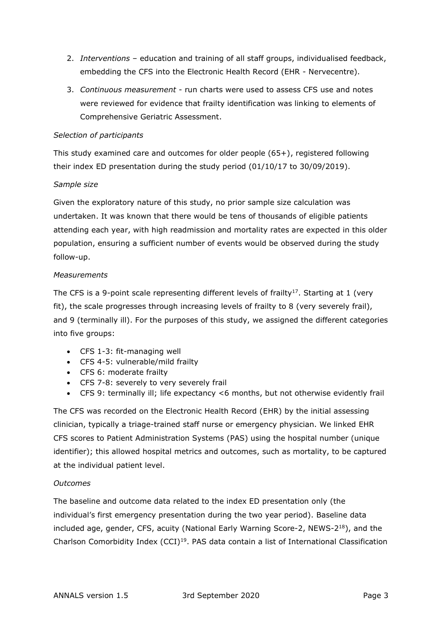- 2. *Interventions* education and training of all staff groups, individualised feedback, embedding the CFS into the Electronic Health Record (EHR - Nervecentre).
- 3. *Continuous measurement* run charts were used to assess CFS use and notes were reviewed for evidence that frailty identification was linking to elements of Comprehensive Geriatric Assessment.

## *Selection of participants*

This study examined care and outcomes for older people (65+), registered following their index ED presentation during the study period (01/10/17 to 30/09/2019).

### *Sample size*

Given the exploratory nature of this study, no prior sample size calculation was undertaken. It was known that there would be tens of thousands of eligible patients attending each year, with high readmission and mortality rates are expected in this older population, ensuring a sufficient number of events would be observed during the study follow-up.

### *Measurements*

The CFS is a 9-point scale representing different levels of frailty<sup>17</sup>. Starting at 1 (very fit), the scale progresses through increasing levels of frailty to 8 (very severely frail), and 9 (terminally ill). For the purposes of this study, we assigned the different categories into five groups:

- CFS 1-3: fit-managing well
- CFS 4-5: vulnerable/mild frailty
- CFS 6: moderate frailty
- CFS 7-8: severely to very severely frail
- CFS 9: terminally ill; life expectancy <6 months, but not otherwise evidently frail

The CFS was recorded on the Electronic Health Record (EHR) by the initial assessing clinician, typically a triage-trained staff nurse or emergency physician. We linked EHR CFS scores to Patient Administration Systems (PAS) using the hospital number (unique identifier); this allowed hospital metrics and outcomes, such as mortality, to be captured at the individual patient level.

## *Outcomes*

The baseline and outcome data related to the index ED presentation only (the individual's first emergency presentation during the two year period). Baseline data included age, gender, CFS, acuity (National Early Warning Score-2, NEWS-2<sup>18</sup>), and the Charlson Comorbidity Index  $(CCI)^{19}$ . PAS data contain a list of International Classification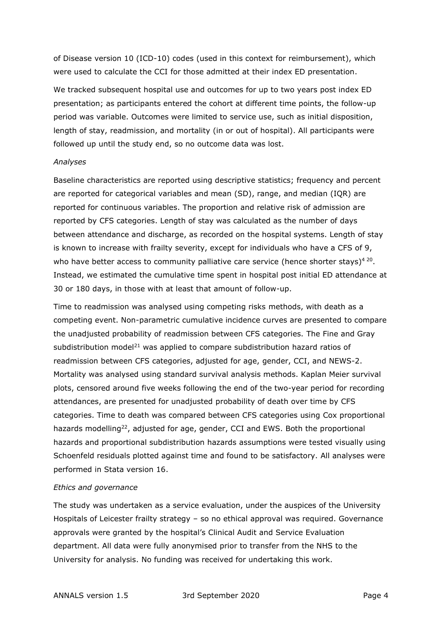of Disease version 10 (ICD-10) codes (used in this context for reimbursement), which were used to calculate the CCI for those admitted at their index ED presentation.

We tracked subsequent hospital use and outcomes for up to two years post index ED presentation; as participants entered the cohort at different time points, the follow-up period was variable. Outcomes were limited to service use, such as initial disposition, length of stay, readmission, and mortality (in or out of hospital). All participants were followed up until the study end, so no outcome data was lost.

#### *Analyses*

Baseline characteristics are reported using descriptive statistics; frequency and percent are reported for categorical variables and mean (SD), range, and median (IQR) are reported for continuous variables. The proportion and relative risk of admission are reported by CFS categories. Length of stay was calculated as the number of days between attendance and discharge, as recorded on the hospital systems. Length of stay is known to increase with frailty severity, except for individuals who have a CFS of 9, who have better access to community palliative care service (hence shorter stays)<sup>420</sup>. Instead, we estimated the cumulative time spent in hospital post initial ED attendance at 30 or 180 days, in those with at least that amount of follow-up.

Time to readmission was analysed using competing risks methods, with death as a competing event. Non-parametric cumulative incidence curves are presented to compare the unadjusted probability of readmission between CFS categories. The Fine and Gray subdistribution model<sup>21</sup> was applied to compare subdistribution hazard ratios of readmission between CFS categories, adjusted for age, gender, CCI, and NEWS-2. Mortality was analysed using standard survival analysis methods. Kaplan Meier survival plots, censored around five weeks following the end of the two-year period for recording attendances, are presented for unadjusted probability of death over time by CFS categories. Time to death was compared between CFS categories using Cox proportional hazards modelling<sup>22</sup>, adjusted for age, gender, CCI and EWS. Both the proportional hazards and proportional subdistribution hazards assumptions were tested visually using Schoenfeld residuals plotted against time and found to be satisfactory. All analyses were performed in Stata version 16.

#### *Ethics and governance*

The study was undertaken as a service evaluation, under the auspices of the University Hospitals of Leicester frailty strategy – so no ethical approval was required. Governance approvals were granted by the hospital's Clinical Audit and Service Evaluation department. All data were fully anonymised prior to transfer from the NHS to the University for analysis. No funding was received for undertaking this work.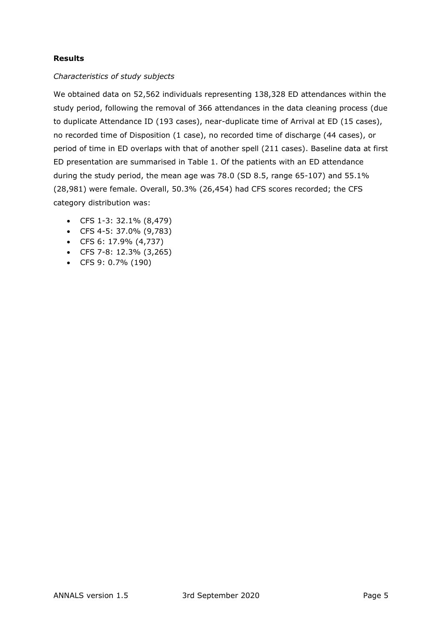## **Results**

## *Characteristics of study subjects*

We obtained data on 52,562 individuals representing 138,328 ED attendances within the study period, following the removal of 366 attendances in the data cleaning process (due to duplicate Attendance ID (193 cases), near-duplicate time of Arrival at ED (15 cases), no recorded time of Disposition (1 case), no recorded time of discharge (44 cases), or period of time in ED overlaps with that of another spell (211 cases). Baseline data at first ED presentation are summarised in Table 1. Of the patients with an ED attendance during the study period, the mean age was 78.0 (SD 8.5, range 65-107) and 55.1% (28,981) were female. Overall, 50.3% (26,454) had CFS scores recorded; the CFS category distribution was:

- CFS 1-3: 32.1% (8,479)
- CFS 4-5: 37.0% (9,783)
- CFS 6: 17.9% (4,737)
- CFS 7-8: 12.3% (3,265)
- CFS 9: 0.7% (190)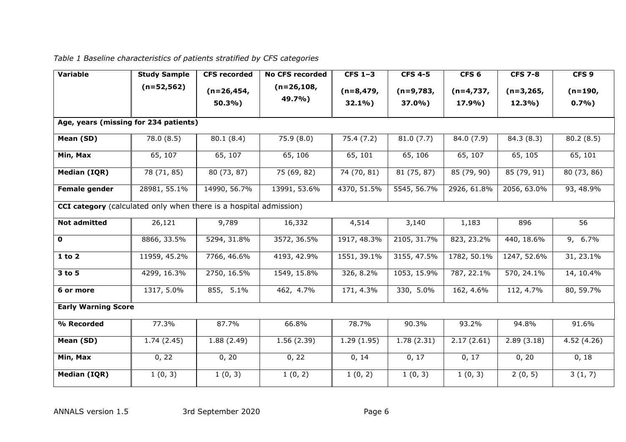# *Table 1 Baseline characteristics of patients stratified by CFS categories*

| <b>Variable</b>                                                          | <b>Study Sample</b> | <b>CFS</b> recorded     | <b>No CFS recorded</b>  | CFS $1-3$           | <b>CFS 4-5</b> | CFS <sub>6</sub> | <b>CFS 7-8</b> | CFS <sub>9</sub> |  |
|--------------------------------------------------------------------------|---------------------|-------------------------|-------------------------|---------------------|----------------|------------------|----------------|------------------|--|
|                                                                          | $(n=52,562)$        | $(n=26, 454,$<br>50.3%) | $(n=26, 108,$<br>49.7%) | $(n=8, 479,$        | $(n=9,783,$    | $(n=4,737,$      | $(n=3, 265,$   | $(n=190,$        |  |
|                                                                          |                     |                         |                         | 32.1%               | 37.0%)         | 17.9%)           | 12.3%          | 0.7%             |  |
| Age, years (missing for 234 patients)                                    |                     |                         |                         |                     |                |                  |                |                  |  |
| Mean (SD)                                                                | 78.0 (8.5)          | 80.1(8.4)               | 75.9(8.0)               | 75.4(7.2)           | 81.0(7.7)      | 84.0 (7.9)       | 84.3 (8.3)     | 80.2(8.5)        |  |
| Min, Max                                                                 | 65, 107             | 65, 107                 | 65, 106                 | 65, 101             | 65, 106        | 65, 107          | 65, 105        | 65, 101          |  |
| Median (IQR)                                                             | 78 (71, 85)         | 80 (73, 87)             | 75 (69, 82)             | 74 (70, 81)         | 81 (75, 87)    | 85 (79, 90)      | 85 (79, 91)    | 80 (73, 86)      |  |
| <b>Female gender</b>                                                     | 28981, 55.1%        | 14990, 56.7%            | 13991, 53.6%            | 4370, 51.5%         | 5545, 56.7%    | 2926, 61.8%      | 2056, 63.0%    | 93, 48.9%        |  |
| <b>CCI category</b> (calculated only when there is a hospital admission) |                     |                         |                         |                     |                |                  |                |                  |  |
| <b>Not admitted</b>                                                      | 26,121              | 9,789                   | 16,332                  | 4,514               | 3,140          | 1,183            | 896            | 56               |  |
| $\mathbf 0$                                                              | 8866, 33.5%         | 5294, 31.8%             | 3572, 36.5%             | 1917, 48.3%         | 2105, 31.7%    | 823, 23.2%       | 440, 18.6%     | 9, 6.7%          |  |
| $1$ to $2$                                                               | 11959, 45.2%        | 7766, 46.6%             | 4193, 42.9%             | 1551, 39.1%         | 3155, 47.5%    | 1782, 50.1%      | 1247, 52.6%    | 31, 23.1%        |  |
| 3 to 5                                                                   | 4299, 16.3%         | 2750, 16.5%             | 1549, 15.8%             | 326, 8.2%           | 1053, 15.9%    | 787, 22.1%       | 570, 24.1%     | 14, 10.4%        |  |
| 6 or more                                                                | 1317, 5.0%          | 855, 5.1%               | 462, 4.7%               | 171, 4.3%           | 330, 5.0%      | 162, 4.6%        | 112, 4.7%      | 80, 59.7%        |  |
| <b>Early Warning Score</b>                                               |                     |                         |                         |                     |                |                  |                |                  |  |
| % Recorded                                                               | 77.3%               | 87.7%                   | 66.8%                   | 78.7%               | 90.3%          | 93.2%            | 94.8%          | 91.6%            |  |
| Mean (SD)                                                                | 1.74(2.45)          | 1.88(2.49)              | 1.56(2.39)              | 1.29(1.95)          | 1.78(2.31)     | 2.17(2.61)       | 2.89(3.18)     | 4.52(4.26)       |  |
| Min, Max                                                                 | 0, 22               | 0, 20                   | 0, 22                   | $\overline{0}$ , 14 | 0, 17          | 0, 17            | 0, 20          | 0, 18            |  |
| <b>Median (IQR)</b>                                                      | 1(0, 3)             | 1(0, 3)                 | 1(0, 2)                 | 1(0, 2)             | 1(0, 3)        | 1(0, 3)          | 2(0, 5)        | 3(1, 7)          |  |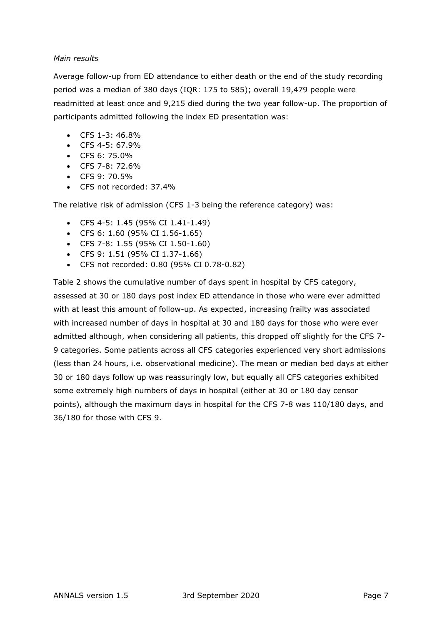## *Main results*

Average follow-up from ED attendance to either death or the end of the study recording period was a median of 380 days (IQR: 175 to 585); overall 19,479 people were readmitted at least once and 9,215 died during the two year follow-up. The proportion of participants admitted following the index ED presentation was:

- $\bullet$  CFS 1-3: 46.8%
- CFS 4-5: 67.9%
- CFS 6: 75.0%
- CFS 7-8: 72.6%
- CFS 9: 70.5%
- CFS not recorded: 37.4%

The relative risk of admission (CFS 1-3 being the reference category) was:

- CFS 4-5: 1.45 (95% CI 1.41-1.49)
- CFS 6: 1.60 (95% CI 1.56-1.65)
- CFS 7-8: 1.55 (95% CI 1.50-1.60)
- CFS 9: 1.51 (95% CI 1.37-1.66)
- CFS not recorded: 0.80 (95% CI 0.78-0.82)

Table 2 shows the cumulative number of days spent in hospital by CFS category, assessed at 30 or 180 days post index ED attendance in those who were ever admitted with at least this amount of follow-up. As expected, increasing frailty was associated with increased number of days in hospital at 30 and 180 days for those who were ever admitted although, when considering all patients, this dropped off slightly for the CFS 7- 9 categories. Some patients across all CFS categories experienced very short admissions (less than 24 hours, i.e. observational medicine). The mean or median bed days at either 30 or 180 days follow up was reassuringly low, but equally all CFS categories exhibited some extremely high numbers of days in hospital (either at 30 or 180 day censor points), although the maximum days in hospital for the CFS 7-8 was 110/180 days, and 36/180 for those with CFS 9.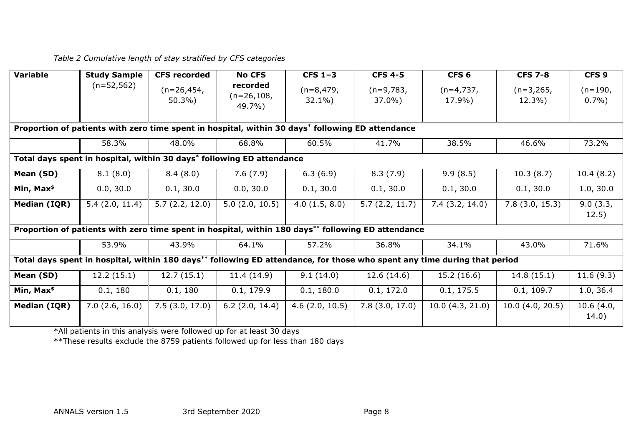*Table 2 Cumulative length of stay stratified by CFS categories*

| <b>Variable</b>                                                                                                          | <b>Study Sample</b> | <b>CFS recorded</b>                                                                              | <b>No CFS</b>                       | CFS $1-3$               | <b>CFS 4-5</b>        | CFS <sub>6</sub>      | <b>CFS 7-8</b>        | CFS <sub>9</sub>       |
|--------------------------------------------------------------------------------------------------------------------------|---------------------|--------------------------------------------------------------------------------------------------|-------------------------------------|-------------------------|-----------------------|-----------------------|-----------------------|------------------------|
|                                                                                                                          | $(n=52,562)$        | $(n=26, 454,$<br>50.3%                                                                           | recorded<br>$(n=26, 108,$<br>49.7%) | $(n=8,479,$<br>$32.1\%$ | $(n=9,783,$<br>37.0%) | $(n=4,737,$<br>17.9%) | $(n=3,265,$<br>12.3%) | $(n=190,$<br>$0.7\%$ ) |
|                                                                                                                          |                     | Proportion of patients with zero time spent in hospital, within 30 days* following ED attendance |                                     |                         |                       |                       |                       |                        |
|                                                                                                                          | 58.3%               | 48.0%                                                                                            | 68.8%                               | 60.5%                   | 41.7%                 | 38.5%                 | 46.6%                 | 73.2%                  |
| Total days spent in hospital, within 30 days* following ED attendance                                                    |                     |                                                                                                  |                                     |                         |                       |                       |                       |                        |
| Mean (SD)                                                                                                                | 8.1(8.0)            | 8.4(8.0)                                                                                         | 7.6(7.9)                            | 6.3(6.9)                | 8.3(7.9)              | 9.9(8.5)              | 10.3(8.7)             | 10.4(8.2)              |
| Min, Max $$^{\$}$                                                                                                        | 0.0, 30.0           | 0.1, 30.0                                                                                        | 0.0, 30.0                           | 0.1, 30.0               | 0.1, 30.0             | 0.1, 30.0             | 0.1, 30.0             | 1.0, 30.0              |
| Median (IQR)                                                                                                             | 5.4(2.0, 11.4)      | 5.7(2.2, 12.0)                                                                                   | 5.0(2.0, 10.5)                      | 4.0(1.5, 8.0)           | 5.7(2.2, 11.7)        | 7.4(3.2, 14.0)        | 7.8(3.0, 15.3)        | 9.0(3.3,<br>12.5)      |
| Proportion of patients with zero time spent in hospital, within 180 days** following ED attendance                       |                     |                                                                                                  |                                     |                         |                       |                       |                       |                        |
|                                                                                                                          | 53.9%               | 43.9%                                                                                            | 64.1%                               | 57.2%                   | 36.8%                 | 34.1%                 | 43.0%                 | 71.6%                  |
| Total days spent in hospital, within 180 days** following ED attendance, for those who spent any time during that period |                     |                                                                                                  |                                     |                         |                       |                       |                       |                        |
| Mean (SD)                                                                                                                | 12.2(15.1)          | 12.7(15.1)                                                                                       | 11.4(14.9)                          | 9.1(14.0)               | 12.6(14.6)            | 15.2(16.6)            | 14.8(15.1)            | 11.6(9.3)              |
| Min, Max $$^{\$}$                                                                                                        | 0.1, 180            | 0.1, 180                                                                                         | 0.1, 179.9                          | 0.1, 180.0              | 0.1, 172.0            | 0.1, 175.5            | 0.1, 109.7            | 1.0, 36.4              |
| Median (IQR)                                                                                                             | 7.0(2.6, 16.0)      | 7.5(3.0, 17.0)                                                                                   | $6.2$ (2.0, 14.4)                   | 4.6(2.0, 10.5)          | 7.8(3.0, 17.0)        | 10.0(4.3, 21.0)       | 10.0(4.0, 20.5)       | 10.6(4.0,<br>14.0)     |

\*All patients in this analysis were followed up for at least 30 days

\*\*These results exclude the 8759 patients followed up for less than 180 days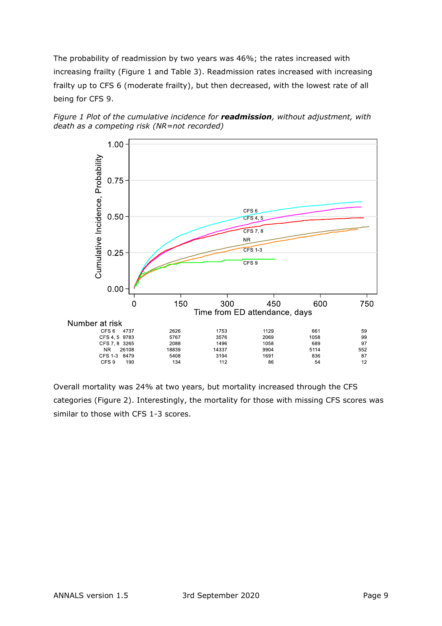The probability of readmission by two years was 46%; the rates increased with increasing frailty (Figure 1 and Table 3). Readmission rates increased with increasing frailty up to CFS 6 (moderate frailty), but then decreased, with the lowest rate of all being for CFS 9.





Overall mortality was 24% at two years, but mortality increased through the CFS categories (Figure 2). Interestingly, the mortality for those with missing CFS scores was similar to those with CFS 1-3 scores.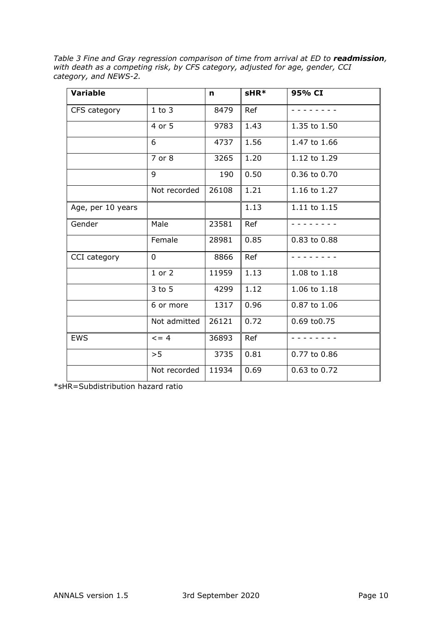*Table 3 Fine and Gray regression comparison of time from arrival at ED to readmission, with death as a competing risk, by CFS category, adjusted for age, gender, CCI category, and NEWS-2.*

| <b>Variable</b>   |                | n     | sHR* | 95% CI       |
|-------------------|----------------|-------|------|--------------|
| CFS category      | $1$ to $3$     | 8479  | Ref  |              |
|                   | 4 or 5         | 9783  | 1.43 | 1.35 to 1.50 |
|                   | 6              | 4737  | 1.56 | 1.47 to 1.66 |
|                   | 7 or 8         | 3265  | 1.20 | 1.12 to 1.29 |
|                   | 9              | 190   | 0.50 | 0.36 to 0.70 |
|                   | Not recorded   | 26108 | 1.21 | 1.16 to 1.27 |
| Age, per 10 years |                |       | 1.13 | 1.11 to 1.15 |
| Gender            | Male           | 23581 | Ref  |              |
|                   | Female         | 28981 | 0.85 | 0.83 to 0.88 |
| CCI category      | $\overline{0}$ | 8866  | Ref  |              |
|                   | $1$ or $2$     | 11959 | 1.13 | 1.08 to 1.18 |
|                   | 3 to 5         | 4299  | 1.12 | 1.06 to 1.18 |
|                   | 6 or more      | 1317  | 0.96 | 0.87 to 1.06 |
|                   | Not admitted   | 26121 | 0.72 | 0.69 to0.75  |
| <b>EWS</b>        | $= 4$          | 36893 | Ref  |              |
|                   | > 5            | 3735  | 0.81 | 0.77 to 0.86 |
|                   | Not recorded   | 11934 | 0.69 | 0.63 to 0.72 |

\*sHR=Subdistribution hazard ratio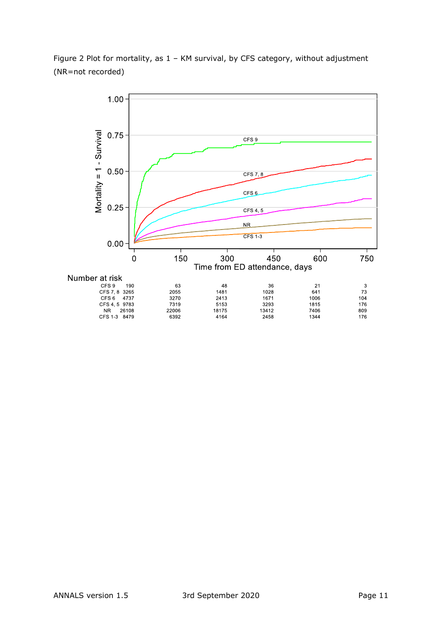

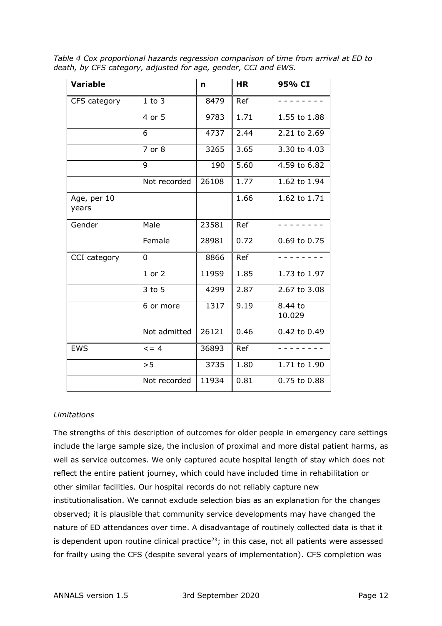*Table 4 Cox proportional hazards regression comparison of time from arrival at ED to death, by CFS category, adjusted for age, gender, CCI and EWS.* 

| <b>Variable</b>      |              | n     | <b>HR</b> | 95% CI            |
|----------------------|--------------|-------|-----------|-------------------|
| CFS category         | $1$ to $3$   | 8479  | Ref       |                   |
|                      | 4 or 5       | 9783  | 1.71      | 1.55 to 1.88      |
|                      | 6            | 4737  | 2.44      | 2.21 to 2.69      |
|                      | 7 or 8       | 3265  | 3.65      | 3.30 to 4.03      |
|                      | 9            | 190   | 5.60      | 4.59 to 6.82      |
|                      | Not recorded | 26108 | 1.77      | 1.62 to 1.94      |
| Age, per 10<br>years |              |       | 1.66      | 1.62 to 1.71      |
| Gender               | Male         | 23581 | Ref       |                   |
|                      | Female       | 28981 | 0.72      | 0.69 to 0.75      |
| CCI category         | 0            | 8866  | Ref       |                   |
|                      | $1$ or $2$   | 11959 | 1.85      | 1.73 to 1.97      |
|                      | $3$ to $5$   | 4299  | 2.87      | 2.67 to 3.08      |
|                      | 6 or more    | 1317  | 9.19      | 8.44 to<br>10.029 |
|                      | Not admitted | 26121 | 0.46      | 0.42 to 0.49      |
| <b>EWS</b>           | $\leq$ = 4   | 36893 | Ref       |                   |
|                      | >5           | 3735  | 1.80      | 1.71 to 1.90      |
|                      | Not recorded | 11934 | 0.81      | 0.75 to 0.88      |

## *Limitations*

The strengths of this description of outcomes for older people in emergency care settings include the large sample size, the inclusion of proximal and more distal patient harms, as well as service outcomes. We only captured acute hospital length of stay which does not reflect the entire patient journey, which could have included time in rehabilitation or other similar facilities. Our hospital records do not reliably capture new institutionalisation. We cannot exclude selection bias as an explanation for the changes observed; it is plausible that community service developments may have changed the nature of ED attendances over time. A disadvantage of routinely collected data is that it is dependent upon routine clinical practice<sup>23</sup>; in this case, not all patients were assessed for frailty using the CFS (despite several years of implementation). CFS completion was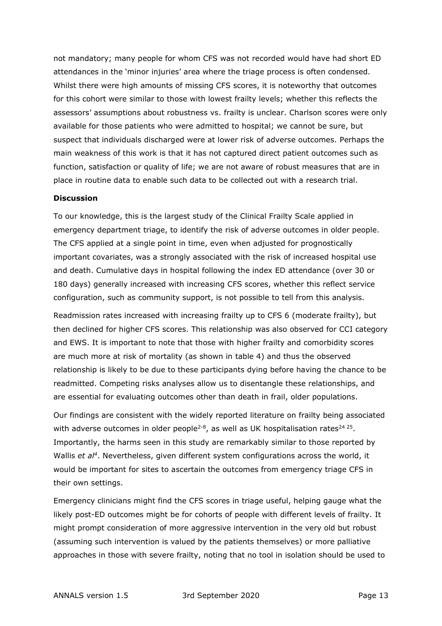not mandatory; many people for whom CFS was not recorded would have had short ED attendances in the 'minor injuries' area where the triage process is often condensed. Whilst there were high amounts of missing CFS scores, it is noteworthy that outcomes for this cohort were similar to those with lowest frailty levels; whether this reflects the assessors' assumptions about robustness vs. frailty is unclear. Charlson scores were only available for those patients who were admitted to hospital; we cannot be sure, but suspect that individuals discharged were at lower risk of adverse outcomes. Perhaps the main weakness of this work is that it has not captured direct patient outcomes such as function, satisfaction or quality of life; we are not aware of robust measures that are in place in routine data to enable such data to be collected out with a research trial.

#### **Discussion**

To our knowledge, this is the largest study of the Clinical Frailty Scale applied in emergency department triage, to identify the risk of adverse outcomes in older people. The CFS applied at a single point in time, even when adjusted for prognostically important covariates, was a strongly associated with the risk of increased hospital use and death. Cumulative days in hospital following the index ED attendance (over 30 or 180 days) generally increased with increasing CFS scores, whether this reflect service configuration, such as community support, is not possible to tell from this analysis.

Readmission rates increased with increasing frailty up to CFS 6 (moderate frailty), but then declined for higher CFS scores. This relationship was also observed for CCI category and EWS. It is important to note that those with higher frailty and comorbidity scores are much more at risk of mortality (as shown in table 4) and thus the observed relationship is likely to be due to these participants dying before having the chance to be readmitted. Competing risks analyses allow us to disentangle these relationships, and are essential for evaluating outcomes other than death in frail, older populations.

Our findings are consistent with the widely reported literature on frailty being associated with adverse outcomes in older people<sup>2-8</sup>, as well as UK hospitalisation rates<sup>24 25</sup>. Importantly, the harms seen in this study are remarkably similar to those reported by Wallis *et al<sup>4</sup>*. Nevertheless, given different system configurations across the world, it would be important for sites to ascertain the outcomes from emergency triage CFS in their own settings.

Emergency clinicians might find the CFS scores in triage useful, helping gauge what the likely post-ED outcomes might be for cohorts of people with different levels of frailty. It might prompt consideration of more aggressive intervention in the very old but robust (assuming such intervention is valued by the patients themselves) or more palliative approaches in those with severe frailty, noting that no tool in isolation should be used to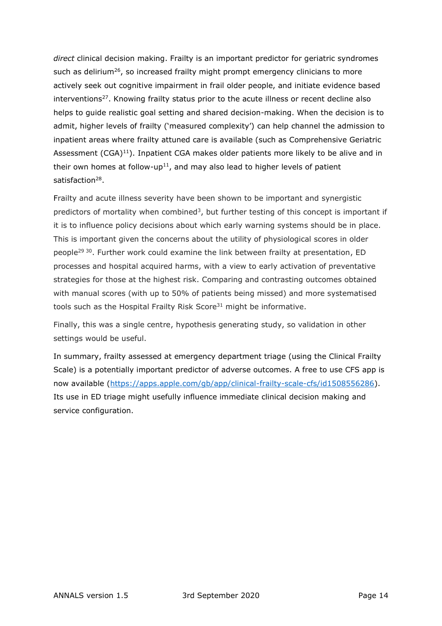*direct* clinical decision making. Frailty is an important predictor for geriatric syndromes such as delirium<sup>26</sup>, so increased frailty might prompt emergency clinicians to more actively seek out cognitive impairment in frail older people, and initiate evidence based interventions<sup>27</sup>. Knowing frailty status prior to the acute illness or recent decline also helps to guide realistic goal setting and shared decision-making. When the decision is to admit, higher levels of frailty ('measured complexity') can help channel the admission to inpatient areas where frailty attuned care is available (such as Comprehensive Geriatric Assessment (CGA)<sup>11</sup>). Inpatient CGA makes older patients more likely to be alive and in their own homes at follow-up<sup>11</sup>, and may also lead to higher levels of patient satisfaction<sup>28</sup>.

Frailty and acute illness severity have been shown to be important and synergistic predictors of mortality when combined<sup>3</sup>, but further testing of this concept is important if it is to influence policy decisions about which early warning systems should be in place. This is important given the concerns about the utility of physiological scores in older people<sup>29 30</sup>. Further work could examine the link between frailty at presentation, ED processes and hospital acquired harms, with a view to early activation of preventative strategies for those at the highest risk. Comparing and contrasting outcomes obtained with manual scores (with up to 50% of patients being missed) and more systematised tools such as the Hospital Frailty Risk Score<sup>31</sup> might be informative.

Finally, this was a single centre, hypothesis generating study, so validation in other settings would be useful.

In summary, frailty assessed at emergency department triage (using the Clinical Frailty Scale) is a potentially important predictor of adverse outcomes. A free to use CFS app is now available (https://apps.apple.com/gb/app/clinical-frailty-scale-cfs/id1508556286). Its use in ED triage might usefully influence immediate clinical decision making and service configuration.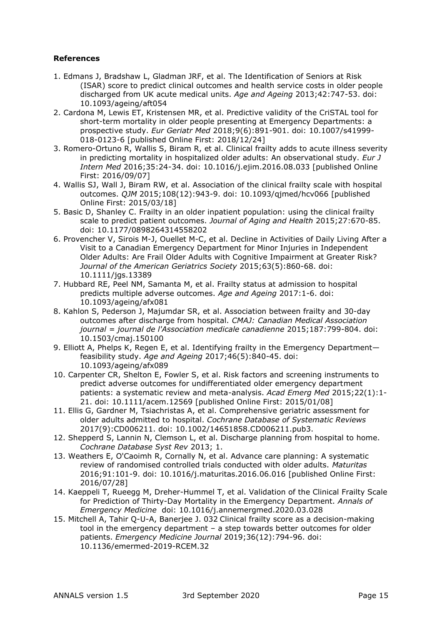## **References**

- 1. Edmans J, Bradshaw L, Gladman JRF, et al. The Identification of Seniors at Risk (ISAR) score to predict clinical outcomes and health service costs in older people discharged from UK acute medical units. *Age and Ageing* 2013;42:747-53. doi: 10.1093/ageing/aft054
- 2. Cardona M, Lewis ET, Kristensen MR, et al. Predictive validity of the CriSTAL tool for short-term mortality in older people presenting at Emergency Departments: a prospective study. *Eur Geriatr Med* 2018;9(6):891-901. doi: 10.1007/s41999- 018-0123-6 [published Online First: 2018/12/24]
- 3. Romero-Ortuno R, Wallis S, Biram R, et al. Clinical frailty adds to acute illness severity in predicting mortality in hospitalized older adults: An observational study. *Eur J Intern Med* 2016;35:24-34. doi: 10.1016/j.ejim.2016.08.033 [published Online First: 2016/09/07]
- 4. Wallis SJ, Wall J, Biram RW, et al. Association of the clinical frailty scale with hospital outcomes. *QJM* 2015;108(12):943-9. doi: 10.1093/qjmed/hcv066 [published Online First: 2015/03/18]
- 5. Basic D, Shanley C. Frailty in an older inpatient population: using the clinical frailty scale to predict patient outcomes. *Journal of Aging and Health* 2015;27:670-85. doi: 10.1177/0898264314558202
- 6. Provencher V, Sirois M-J, Ouellet M-C, et al. Decline in Activities of Daily Living After a Visit to a Canadian Emergency Department for Minor Injuries in Independent Older Adults: Are Frail Older Adults with Cognitive Impairment at Greater Risk? *Journal of the American Geriatrics Society* 2015;63(5):860-68. doi: 10.1111/jgs.13389
- 7. Hubbard RE, Peel NM, Samanta M, et al. Frailty status at admission to hospital predicts multiple adverse outcomes. *Age and Ageing* 2017:1-6. doi: 10.1093/ageing/afx081
- 8. Kahlon S, Pederson J, Majumdar SR, et al. Association between frailty and 30-day outcomes after discharge from hospital. *CMAJ: Canadian Medical Association journal = journal de l'Association medicale canadienne* 2015;187:799-804. doi: 10.1503/cmaj.150100
- 9. Elliott A, Phelps K, Regen E, et al. Identifying frailty in the Emergency Department feasibility study. *Age and Ageing* 2017;46(5):840-45. doi: 10.1093/ageing/afx089
- 10. Carpenter CR, Shelton E, Fowler S, et al. Risk factors and screening instruments to predict adverse outcomes for undifferentiated older emergency department patients: a systematic review and meta-analysis. *Acad Emerg Med* 2015;22(1):1- 21. doi: 10.1111/acem.12569 [published Online First: 2015/01/08]
- 11. Ellis G, Gardner M, Tsiachristas A, et al. Comprehensive geriatric assessment for older adults admitted to hospital. *Cochrane Database of Systematic Reviews* 2017(9):CD006211. doi: 10.1002/14651858.CD006211.pub3.
- 12. Shepperd S, Lannin N, Clemson L, et al. Discharge planning from hospital to home. *Cochrane Database Syst Rev* 2013; 1.
- 13. Weathers E, O'Caoimh R, Cornally N, et al. Advance care planning: A systematic review of randomised controlled trials conducted with older adults. *Maturitas* 2016;91:101-9. doi: 10.1016/j.maturitas.2016.06.016 [published Online First: 2016/07/28]
- 14. Kaeppeli T, Rueegg M, Dreher-Hummel T, et al. Validation of the Clinical Frailty Scale for Prediction of Thirty-Day Mortality in the Emergency Department. *Annals of Emergency Medicine* doi: 10.1016/j.annemergmed.2020.03.028
- 15. Mitchell A, Tahir Q-U-A, Banerjee J. 032 Clinical frailty score as a decision-making tool in the emergency department – a step towards better outcomes for older patients. *Emergency Medicine Journal* 2019;36(12):794-96. doi: 10.1136/emermed-2019-RCEM.32